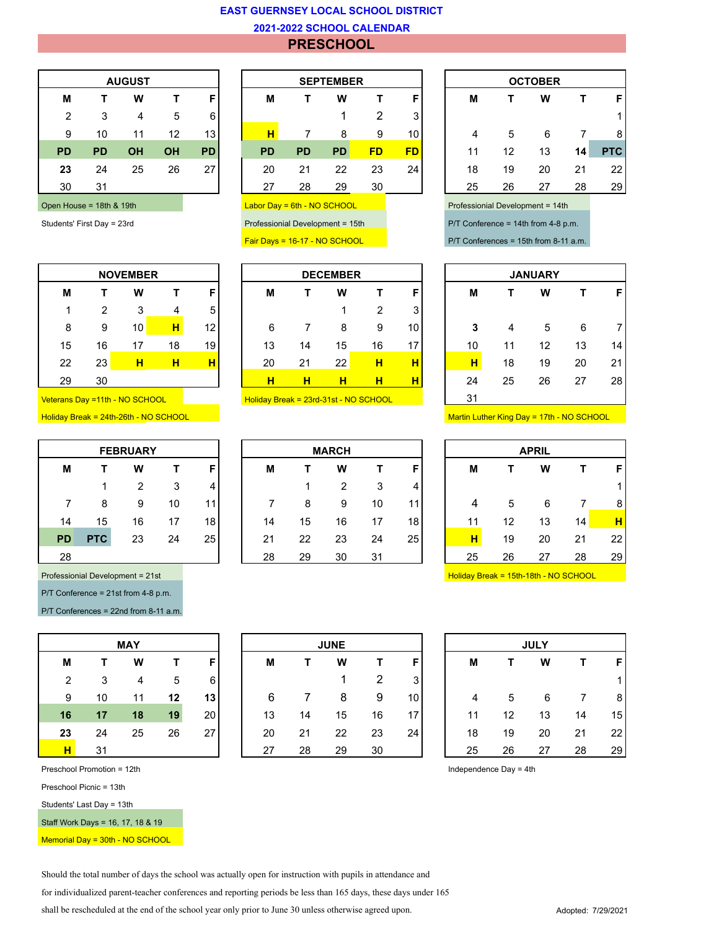## **EAST GUERNSEY LOCAL SCHOOL DISTRICT**

## **2021-2022 SCHOOL CALENDAR**

## **PRESCHOOL**

| <b>AUGUST</b>  |           |           |           |           |  |  |  |  |  |  |  |
|----------------|-----------|-----------|-----------|-----------|--|--|--|--|--|--|--|
| М              | т         | W         | т         | F         |  |  |  |  |  |  |  |
| $\overline{2}$ | 3         | 4         | 5         | 6         |  |  |  |  |  |  |  |
| 9              | 10        | 11        | 12        | 13        |  |  |  |  |  |  |  |
| <b>PD</b>      | <b>PD</b> | <b>OH</b> | <b>OH</b> | <b>PD</b> |  |  |  |  |  |  |  |
| 23             | 24        | 25        | 26        | 27        |  |  |  |  |  |  |  |
| 30             | 31        |           |           |           |  |  |  |  |  |  |  |
|                |           |           |           |           |  |  |  |  |  |  |  |

|    | <b>NOVEMBER</b> |    |    |    |  |  |  |  |  |  |  |
|----|-----------------|----|----|----|--|--|--|--|--|--|--|
| М  | т               | W  | т  | F  |  |  |  |  |  |  |  |
| 1  | 2               | 3  | 4  | 5  |  |  |  |  |  |  |  |
| 8  | 9               | 10 | н  | 12 |  |  |  |  |  |  |  |
| 15 | 16              | 17 | 18 | 19 |  |  |  |  |  |  |  |
| 22 | 23              | н  | н  |    |  |  |  |  |  |  |  |
| 29 | 30              |    |    |    |  |  |  |  |  |  |  |

| <b>FEBRUARY</b> |            |                |    |    |  |  |  |  |  |  |  |
|-----------------|------------|----------------|----|----|--|--|--|--|--|--|--|
| М               | т          | w              | т  | F  |  |  |  |  |  |  |  |
|                 | 1          | $\overline{2}$ | 3  | 4  |  |  |  |  |  |  |  |
| 7               | 8          | 9              | 10 | 11 |  |  |  |  |  |  |  |
| 14              | 15         | 16             | 17 | 18 |  |  |  |  |  |  |  |
| PD              | <b>PTC</b> | 23             | 24 | 25 |  |  |  |  |  |  |  |
| 28              |            |                |    |    |  |  |  |  |  |  |  |

P/T Conference = 21st from 4-8 p.m.

P/T Conferences = 22nd from 8-11 a.m.

|    |    | <b>MAY</b> |    |    |
|----|----|------------|----|----|
| М  | т  | W          | т  | F  |
| 2  | 3  | 4          | 5  | 6  |
| 9  | 10 | 11         | 12 | 13 |
| 16 | 17 | 18         | 19 | 20 |
| 23 | 24 | 25         | 26 | 27 |
| н  | 31 |            |    |    |

Preschool Promotion = 12th Independence Day = 4th

Preschool Picnic = 13th

Students' Last Day = 13th

Staff Work Days = 16, 17, 18 & 19

Memorial Day = 30th - NO SCHOOL

|           | <b>AUGUST</b>      |    |           |                 | <b>SEPTEMBER</b>                      |           |           |    |     | <b>OCTOBER</b> |    |    |    |              |
|-----------|--------------------|----|-----------|-----------------|---------------------------------------|-----------|-----------|----|-----|----------------|----|----|----|--------------|
| М         |                    | W  |           | F               | м                                     |           | W         |    | E   | M              |    | W  |    | F            |
| 2         | 3                  | 4  | 5         | 6               |                                       |           |           | 2  | 3   |                |    |    |    | $\mathbf{1}$ |
| 9         | 10                 | 11 | 12        | 13 <sub>1</sub> | н                                     |           | 8         | 9  | 10  | 4              | 5  | 6  |    | 8            |
| <b>PD</b> | <b>PD</b>          | ΟH | <b>OH</b> | <b>PD</b>       | <b>PD</b>                             | <b>PD</b> | <b>PD</b> | FD | FD. | 11             | 12 | 13 | 14 | <b>PTC</b>   |
| 23        | 24                 | 25 | 26        | 27              | 20                                    | 21        | 22        | 23 | 24  | 18             | 19 | 20 | 21 | 22           |
| 30        | 31                 |    |           |                 | 27                                    | 28        | 29        | 30 |     | 25             | 26 | 27 | 28 | 29           |
|           | $11222 - 40450404$ |    |           |                 | $Lother Dout = Rth h1 = Rth R1 = Rth$ |           |           |    |     | Dendg          |    |    |    |              |

|                 |    | <b>NOVEMBER</b>                                                                                 |    |                 |                                                                                                             |    | <b>DECEMBER</b> |    |                 | <b>JANUARY</b> |    |    |    |                |
|-----------------|----|-------------------------------------------------------------------------------------------------|----|-----------------|-------------------------------------------------------------------------------------------------------------|----|-----------------|----|-----------------|----------------|----|----|----|----------------|
| M               |    | W                                                                                               |    | F               | M                                                                                                           |    | W               |    | F               | M              |    | W  |    | F              |
|                 | າ  | 3                                                                                               | 4  | 5               |                                                                                                             |    |                 | ົ  | 3               |                |    |    |    |                |
| 8               | 9  | 10                                                                                              | н  | 12 <sub>1</sub> | 6                                                                                                           |    | 8               | 9  | 10 <sup>1</sup> | 3              | 4  | 5  | 6  | $\overline{7}$ |
| 15              | 16 | 17                                                                                              | 18 | 19              | 13                                                                                                          | 14 | 15              | 16 | 17              | 10             | 11 | 12 | 13 | 14             |
| 22              | 23 | н                                                                                               | н  | н               | 20                                                                                                          | 21 | 22              | н  | н               | н              | 18 | 19 | 20 | 21             |
| 29              | 30 |                                                                                                 |    |                 | н                                                                                                           | н  | н               | н  | н               | 24             | 25 | 26 | 27 | 28             |
| <b>Property</b> |    | $\overline{111}$ $\overline{112}$ $\overline{0}$ $\overline{0}$ $\overline{0}$ $\overline{112}$ |    |                 | $\cdots$ $\cdots$ $\cdots$ $\cdots$ $\cdots$ $\cdots$ $\cdots$ $\cdots$ $\cdots$ $\cdots$ $\cdots$ $\cdots$ |    |                 |    |                 | 04             |    |    |    |                |

Veterans Day =11th - NO SCHOOL Holiday Break = 23rd-31st - NO SCHOOL

|           |            | <b>FEBRUARY</b> |    |    | <b>MARCH</b> |    |    |    |    |    | <b>APRIL</b> |    |    |    |    |  |
|-----------|------------|-----------------|----|----|--------------|----|----|----|----|----|--------------|----|----|----|----|--|
| M         |            | W               |    | F  |              | м  |    | W  |    | Е  | M            |    | W  |    | F  |  |
|           |            | っ               | 3  | 4  |              |    |    | 2  | 3  | 4  |              |    |    |    | 4  |  |
|           | 8          | 9               | 10 | 11 |              |    | 8  | 9  | 10 | 11 | 4            | 5  | 6  |    | 8  |  |
| 14        | 15         | 16              | 17 | 18 |              | 14 | 15 | 16 | 17 | 18 | 11           | 12 | 13 | 14 | н  |  |
| <b>PD</b> | <b>PTC</b> | 23              | 24 | 25 |              | 21 | 22 | 23 | 24 | 25 | Η            | 19 | 20 | 21 | 22 |  |
| 28        |            |                 |    |    |              | 28 | 29 | 30 | 31 |    | 25           | 26 | 27 | 28 | 29 |  |
|           |            |                 |    |    |              |    |    |    |    |    |              |    |    |    |    |  |

| <b>OCTOBER</b> |    |    |    |            |  |  |  |  |  |  |
|----------------|----|----|----|------------|--|--|--|--|--|--|
| М              | т  | W  | т  | F          |  |  |  |  |  |  |
|                |    |    |    |            |  |  |  |  |  |  |
| 4              | 5  | 6  | 7  | 8          |  |  |  |  |  |  |
| 11             | 12 | 13 | 14 | <b>PTC</b> |  |  |  |  |  |  |
| 18             | 19 | 20 | 21 | 22         |  |  |  |  |  |  |
| 25             | 26 | 27 | 28 | 29         |  |  |  |  |  |  |

Open House = 18th & 19th Labor Day = 6th - NO SCHOOL Professionial Development = 14th

Students' First Day = 23rd Professionial Development = 15th P/T Conference = 14th from 4-8 p.m.

Fair Days = 16-17 - NO SCHOOL P/T Conferences = 15th from 8-11 a.m.

| <b>JANUARY</b> |    |    |    |    |  |  |  |  |  |  |  |
|----------------|----|----|----|----|--|--|--|--|--|--|--|
| М              | т  | W  | т  | F  |  |  |  |  |  |  |  |
|                |    |    |    |    |  |  |  |  |  |  |  |
| 3              | 4  | 5  | 6  | 7  |  |  |  |  |  |  |  |
| 10             | 11 | 12 | 13 | 14 |  |  |  |  |  |  |  |
| н              | 18 | 19 | 20 | 21 |  |  |  |  |  |  |  |
| 24             | 25 | 26 | 27 | 28 |  |  |  |  |  |  |  |
| 31             |    |    |    |    |  |  |  |  |  |  |  |

Holiday Break = 24th-26th - NO SCHOOL Martin Luther King Day = 17th - NO SCHOOL

| <b>APRIL</b> |    |    |    |    |  |  |  |  |  |  |
|--------------|----|----|----|----|--|--|--|--|--|--|
| М            | т  | W  | Т  | F  |  |  |  |  |  |  |
|              |    |    |    | 1  |  |  |  |  |  |  |
| 4            | 5  | 6  | 7  | 8  |  |  |  |  |  |  |
| 11           | 12 | 13 | 14 | н  |  |  |  |  |  |  |
| н            | 19 | 20 | 21 | 22 |  |  |  |  |  |  |
| 25           | 26 | 27 | 28 | 29 |  |  |  |  |  |  |

Professionial Development = 21st Holiday Break = 15th-18th - NO SCHOOL

| <b>MAY</b> |    |    |    |                 | <b>JUNE</b> |    |    |    |                 | <b>JULY</b>    |    |    |    |    |  |
|------------|----|----|----|-----------------|-------------|----|----|----|-----------------|----------------|----|----|----|----|--|
| M          |    | W  |    |                 | M           |    | W  |    | F               | M              |    | W  |    | F  |  |
| 2          | 3  | 4  | 5  | 6               |             |    |    | 2  | 3               |                |    |    |    |    |  |
| 9          | 10 | 11 | 12 | 13              | 6           |    | 8  | 9  | 10 I            | $\overline{4}$ | 5  | 6  | 7  | 8  |  |
| 16         | 17 | 18 | 19 | 20 <sub>l</sub> | 13          | 14 | 15 | 16 | 17 <sup>1</sup> | 11             | 12 | 13 | 14 | 15 |  |
| 23         | 24 | 25 | 26 | 27              | 20          | 21 | 22 | 23 | 24              | 18             | 19 | 20 | 21 | 22 |  |
| H.         | 31 |    |    |                 | 27          | 28 | 29 | 30 |                 | 25             | 26 | 27 | 28 | 29 |  |

| <b>JULY</b> |    |    |    |    |  |  |  |  |  |  |  |
|-------------|----|----|----|----|--|--|--|--|--|--|--|
| М           | т  | W  | т  | F  |  |  |  |  |  |  |  |
|             |    |    |    | 1  |  |  |  |  |  |  |  |
| 4           | 5  | 6  | 7  | 8  |  |  |  |  |  |  |  |
| 11          | 12 | 13 | 14 | 15 |  |  |  |  |  |  |  |
| 18          | 19 | 20 | 21 | 22 |  |  |  |  |  |  |  |
| 25          | 26 | 27 | 28 | 29 |  |  |  |  |  |  |  |

Should the total number of days the school was actually open for instruction with pupils in attendance and

for individualized parent-teacher conferences and reporting periods be less than 165 days, these days under 165

shall be rescheduled at the end of the school year only prior to June 30 unless otherwise agreed upon. Adopted: 7/29/2021